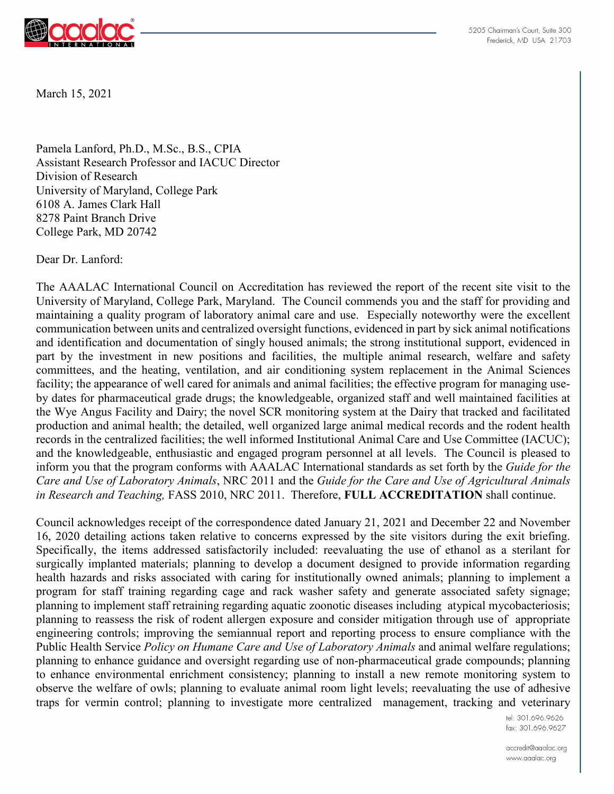

5205 Chairman's Court. Suite 300 Frederick, MD USA 21703

March 15, 2021

Pamela Lanford, Ph.D., M.Sc., B.S., CPIA Assistant Research Professor and IACUC Director Division of Research University of Maryland, College Park 6108 A. James Clark Hall 8278 Paint Branch Drive College Park, MD 20742

Dear Dr. Lanford:

The AAALAC International Council on Accreditation has reviewed the report of the recent site visit to the University of Maryland, College Park, Maryland. The Council commends you and the staff for providing and maintaining a quality program of laboratory animal care and use. Especially noteworthy were the excellent communication between units and centralized oversight functions, evidenced in part by sick animal notifications and identification and documentation of singly housed animals; the strong institutional support, evidenced in part by the investment in new positions and facilities, the multiple animal research, welfare and safety committees, and the heating, ventilation, and air conditioning system replacement in the Animal Sciences facility; the appearance of well cared for animals and animal facilities; the effective program for managing useby dates for pharmaceutical grade drugs; the knowledgeable, organized staff and well maintained facilities at the Wye Angus Facility and Dairy; the novel SCR monitoring system at the Dairy that tracked and facilitated production and animal health; the detailed, well organized large animal medical records and the rodent health records in the centralized facilities; the well informed Institutional Animal Care and Use Committee (IACUC); and the knowledgeable, enthusiastic and engaged program personnel at all levels. The Council is pleased to inform you that the program conforms with AAALAC International standards as set forth by the *Guide for the Care and Use of Laboratory Animals*, NRC 2011 and the *Guide for the Care and Use of Agricultural Animals in Research and Teaching,* FASS 2010, NRC 2011. Therefore, **FULL ACCREDITATION** shall continue.

Council acknowledges receipt of the correspondence dated January 21, 2021 and December 22 and November 16, 2020 detailing actions taken relative to concerns expressed by the site visitors during the exit briefing. Specifically, the items addressed satisfactorily included: reevaluating the use of ethanol as a sterilant for surgically implanted materials; planning to develop a document designed to provide information regarding health hazards and risks associated with caring for institutionally owned animals; planning to implement a program for staff training regarding cage and rack washer safety and generate associated safety signage; planning to implement staff retraining regarding aquatic zoonotic diseases including atypical mycobacteriosis; planning to reassess the risk of rodent allergen exposure and consider mitigation through use of appropriate engineering controls; improving the semiannual report and reporting process to ensure compliance with the Public Health Service *Policy on Humane Care and Use of Laboratory Animals* and animal welfare regulations; planning to enhance guidance and oversight regarding use of non-pharmaceutical grade compounds; planning to enhance environmental enrichment consistency; planning to install a new remote monitoring system to observe the welfare of owls; planning to evaluate animal room light levels; reevaluating the use of adhesive traps for vermin control; planning to investigate more centralized management, tracking and veterinary

> tel: 301.696.9626 fax: 301.696.9627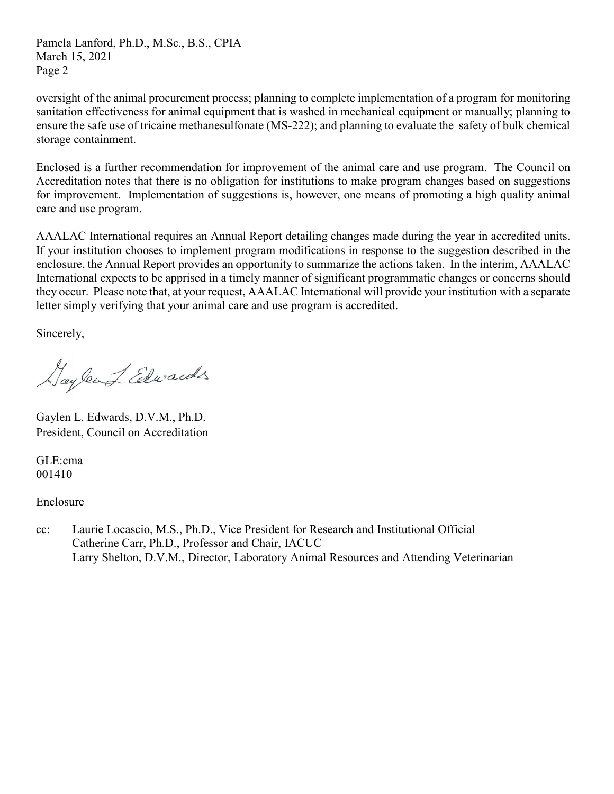Pamela Lanford, Ph.D., M.Sc., B.S., CPIA March 15, 2021 Page 2

oversight of the animal procurement process; planning to complete implementation of a program for monitoring sanitation effectiveness for animal equipment that is washed in mechanical equipment or manually; planning to ensure the safe use of tricaine methanesulfonate (MS-222); and planning to evaluate the safety of bulk chemical storage containment.

Enclosed is a further recommendation for improvement of the animal care and use program. The Council on Accreditation notes that there is no obligation for institutions to make program changes based on suggestions for improvement. Implementation of suggestions is, however, one means of promoting a high quality animal care and use program.

AAALAC International requires an Annual Report detailing changes made during the year in accredited units. If your institution chooses to implement program modifications in response to the suggestion described in the enclosure, the Annual Report provides an opportunity to summarize the actions taken. In the interim, AAALAC International expects to be apprised in a timely manner of significant programmatic changes or concerns should they occur. Please note that, at your request, AAALAC International will provide your institution with a separate letter simply verifying that your animal care and use program is accredited.

Sincerely,

Haylend Edwards

Gaylen L. Edwards, D.V.M., Ph.D. President, Council on Accreditation

GLE:cma 001410

Enclosure

cc: Laurie Locascio, M.S., Ph.D., Vice President for Research and Institutional Official Catherine Carr, Ph.D., Professor and Chair, IACUC Larry Shelton, D.V.M., Director, Laboratory Animal Resources and Attending Veterinarian